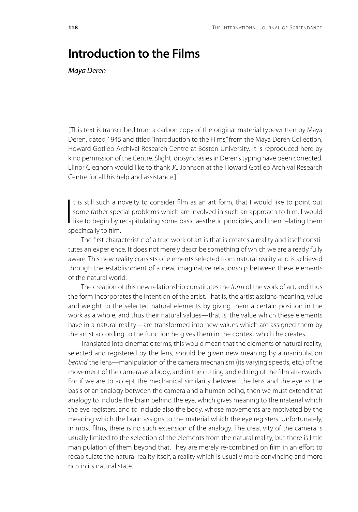## **Introduction to the Films**

*Maya Deren*

[This text is transcribed from a carbon copy of the original material typewritten by Maya Deren, dated 1945 and titled "Introduction to the Films," from the Maya Deren Collection, Howard Gotlieb Archival Research Centre at Boston University. It is reproduced here by kind permission of the Centre. Slight idiosyncrasies in Deren's typing have been corrected. Elinor Cleghorn would like to thank JC Johnson at the Howard Gotlieb Archival Research Centre for all his help and assistance.]

 $\overline{\mathbf{a}}$ t is still such a novelty to consider film as an art form, that I would like to point out some rather special problems which are involved in such an approach to film. I would like to begin by recapitulating some basic aesthetic principles, and then relating them specifically to film.

The first characteristic of a true work of art is that is creates a reality and itself constitutes an experience. It does not merely describe something of which we are already fully aware. This new reality consists of elements selected from natural reality and is achieved through the establishment of a new, imaginative relationship between these elements of the natural world.

The creation of this new relationship constitutes the *form* of the work of art, and thus the form incorporates the intention of the artist. That is, the artist assigns meaning, value and weight to the selected natural elements by giving them a certain position in the work as a whole, and thus their natural values—that is, the value which these elements have in a natural reality—are transformed into new values which are assigned them by the artist according to the function he gives them in the context which he creates.

Translated into cinematic terms, this would mean that the elements of natural reality, selected and registered by the lens, should be given new meaning by a manipulation *behind* the lens—manipulation of the camera mechanism (its varying speeds, etc.) of the movement of the camera as a body, and in the cutting and editing of the film afterwards. For if we are to accept the mechanical similarity between the lens and the eye as the basis of an analogy between the camera and a human being, then we must extend that analogy to include the brain behind the eye, which gives meaning to the material which the eye registers, and to include also the body, whose movements are motivated by the meaning which the brain assigns to the material which the eye registers. Unfortunately, in most films, there is no such extension of the analogy. The creativity of the camera is usually limited to the selection of the elements from the natural reality, but there is little manipulation of them beyond that. They are merely re-combined on film in an effort to recapitulate the natural reality itself, a reality which is usually more convincing and more rich in its natural state.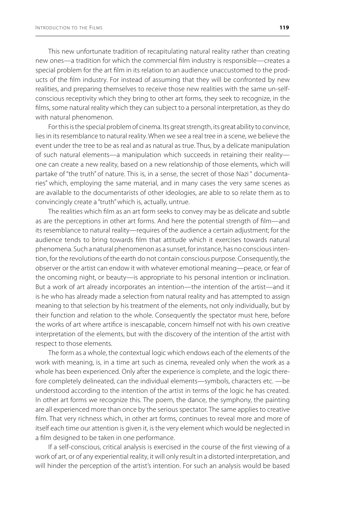This new unfortunate tradition of recapitulating natural reality rather than creating new ones—a tradition for which the commercial film industry is responsible—creates a special problem for the art film in its relation to an audience unaccustomed to the products of the film industry. For instead of assuming that they will be confronted by new realities, and preparing themselves to receive those new realities with the same un-selfconscious receptivity which they bring to other art forms, they seek to recognize, in the films, some natural reality which they can subject to a personal interpretation, as they do with natural phenomenon.

For this is the special problem of cinema. Its great strength, its great ability to convince, lies in its resemblance to natural reality. When we see a real tree in a scene, we believe the event under the tree to be as real and as natural as true. Thus, by a delicate manipulation of such natural elements—a manipulation which succeeds in retaining their reality one can create a new reality, based on a new relationship of those elements, which will partake of "the truth" of nature. This is, in a sense, the secret of those Nazi " documentaries" which, employing the same material, and in many cases the very same scenes as are available to the documentarists of other ideologies, are able to so relate them as to convincingly create a "truth" which is, actually, untrue.

The realities which film as an art form seeks to convey may be as delicate and subtle as are the perceptions in other art forms. And here the potential strength of film—and its resemblance to natural reality—requires of the audience a certain adjustment; for the audience tends to bring towards film that attitude which it exercises towards natural phenomena. Such a natural phenomenon as a sunset, for instance, has no conscious intention, for the revolutions of the earth do not contain conscious purpose. Consequently, the observer or the artist can endow it with whatever emotional meaning—peace, or fear of the oncoming night, or beauty—is appropriate to his personal intention or inclination. But a work of art already incorporates an intention—the intention of the artist—and it is he who has already made a selection from natural reality and has attempted to assign meaning to that selection by his treatment of the elements, not only individually, but by their function and relation to the whole. Consequently the spectator must here, before the works of art where artifice is inescapable, concern himself not with his own creative interpretation of the elements, but with the discovery of the intention of the artist with respect to those elements.

The form as a whole, the contextual logic which endows each of the elements of the work with meaning, is, in a time art such as cinema, revealed only when the work as a whole has been experienced. Only after the experience is complete, and the logic therefore completely delineated, can the individual elements—symbols, characters etc. —be understood according to the intention of the artist in terms of the logic he has created. In other art forms we recognize this. The poem, the dance, the symphony, the painting are all experienced more than once by the serious spectator. The same applies to creative film. That very richness which, in other art forms, continues to reveal more and more of itself each time our attention is given it, is the very element which would be neglected in a film designed to be taken in one performance.

If a self-conscious, critical analysis is exercised in the course of the first viewing of a work of art, or of any experiential reality, it will only result in a distorted interpretation, and will hinder the perception of the artist's intention. For such an analysis would be based